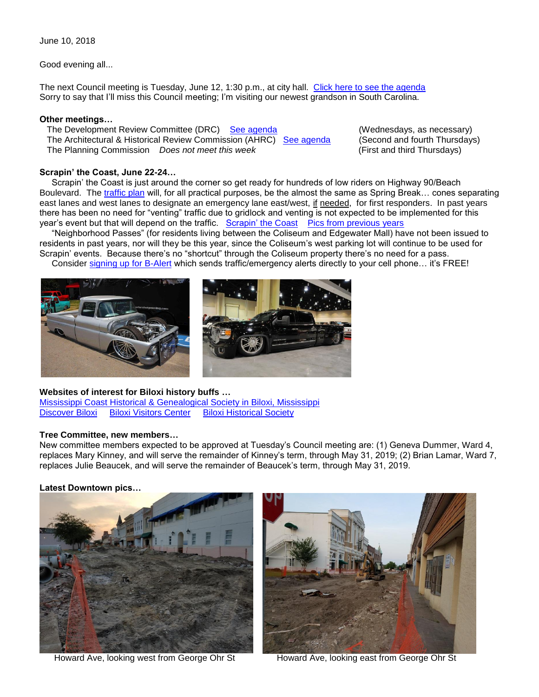June 10, 2018

Good evening all...

The next Council meeting is Tuesday, June 12, 1:30 p.m., at city hall. [Click here to see the agenda](https://www.biloxi.ms.us/agendas/citycouncil/2018/061218/061218agenda.pdf) Sorry to say that I'll miss this Council meeting; I'm visiting our newest grandson in South Carolina.

## **Other meetings…**

The Development Review Committee (DRC) So agenda (Wednesdays, as necessary)<br>The Architectural & Historical Review Commission (AHRC) [See agenda](https://www.biloxi.ms.us/agendas/DRC/2018/DRC-2018-06-13.pdf) (Second and fourth Thursdays) The Architectural & Historical Review Commission (AHRC) [See agenda](https://www.biloxi.ms.us/agendas/AHRC/2018/AHRC-2018-06-14.pdf) (Second and fourth Thursdays)<br>The Planning Commission Does not meet this week (First and third Thursdays) The Planning Commission *Does not meet this week* 

### **Scrapin' the Coast, June 22-24…**

 Scrapin' the Coast is just around the corner so get ready for hundreds of low riders on Highway 90/Beach Boulevard. The [traffic plan](https://www.biloxi.ms.us/wp-content/uploads/2018/04/springbreaktrafficplan2018.pdf) will, for all practical purposes, be the almost the same as Spring Break... cones separating east lanes and west lanes to designate an emergency lane east/west, if needed, for first responders. In past years there has been no need for "venting" traffic due to gridlock and venting is not expected to be implemented for this year's event but that will depend on the traffic. [Scrapin' the Coast](http://www.scrapinthecoast.com/) [Pics from previous years](http://www.scrapinthecoast.com/gallery.html)

 "Neighborhood Passes" (for residents living between the Coliseum and Edgewater Mall) have not been issued to residents in past years, nor will they be this year, since the Coliseum's west parking lot will continue to be used for Scrapin' events. Because there's no "shortcut" through the Coliseum property there's no need for a pass.

Consider [signing up for B-Alert](https://www.biloxi.ms.us/b-alert/) which sends traffic/emergency alerts directly to your cell phone... it's FREE!



#### **Websites of interest for Biloxi history buffs …**

[Mississippi Coast Historical & Genealogical Society in Biloxi, Mississippi](http://www.nonprofitfacts.com/MS/Mississippi-Coast-Historical-Genealogical-Society.html)  [Discover Biloxi](http://discover.biloxi.ms.us/) [Biloxi Visitors Center](https://www.biloxi.ms.us/visitor-info/museums/visitors-center/) [Biloxi Historical Society](https://biloxihistoricalsociety.org/biloxi-homes) 

#### **Tree Committee, new members…**

New committee members expected to be approved at Tuesday's Council meeting are: (1) Geneva Dummer, Ward 4, replaces Mary Kinney, and will serve the remainder of Kinney's term, through May 31, 2019; (2) Brian Lamar, Ward 7, replaces Julie Beaucek, and will serve the remainder of Beaucek's term, through May 31, 2019.

**Latest Downtown pics…**



Howard Ave, looking west from George Ohr St Howard Ave, looking east from George Ohr St